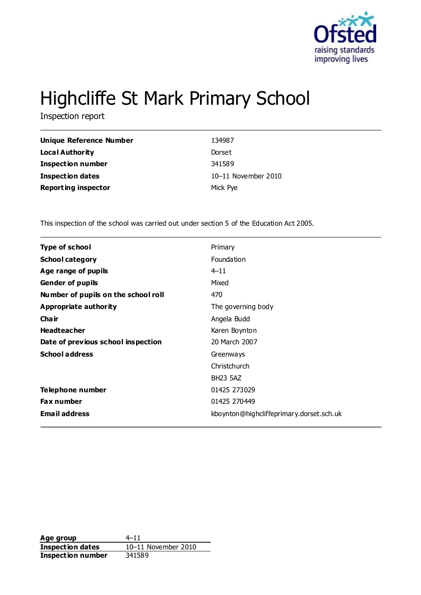

# Highcliffe St Mark Primary School

Inspection report

| Unique Reference Number    | 134987              |
|----------------------------|---------------------|
| <b>Local Authority</b>     | Dorset              |
| <b>Inspection number</b>   | 341589              |
| <b>Inspection dates</b>    | 10-11 November 2010 |
| <b>Reporting inspector</b> | Mick Pye            |

This inspection of the school was carried out under section 5 of the Education Act 2005.

| <b>Type of school</b>               | Primary                                  |
|-------------------------------------|------------------------------------------|
| <b>School category</b>              | Foundation                               |
| Age range of pupils                 | $4 - 11$                                 |
| <b>Gender of pupils</b>             | Mixed                                    |
| Number of pupils on the school roll | 470                                      |
| Appropriate authority               | The governing body                       |
| Cha ir                              | Angela Budd                              |
| <b>Headteacher</b>                  | Karen Boynton                            |
| Date of previous school inspection  | 20 March 2007                            |
| <b>School address</b>               | Greenways                                |
|                                     | Christchurch                             |
|                                     | <b>BH23 5AZ</b>                          |
| Telephone number                    | 01425 273029                             |
| <b>Fax number</b>                   | 01425 270449                             |
| <b>Email address</b>                | kboynton@highcliffeprimary.dorset.sch.uk |
|                                     |                                          |

**Age group** 4–11 **Inspection dates** 10–11 November 2010 **Inspection number** 341589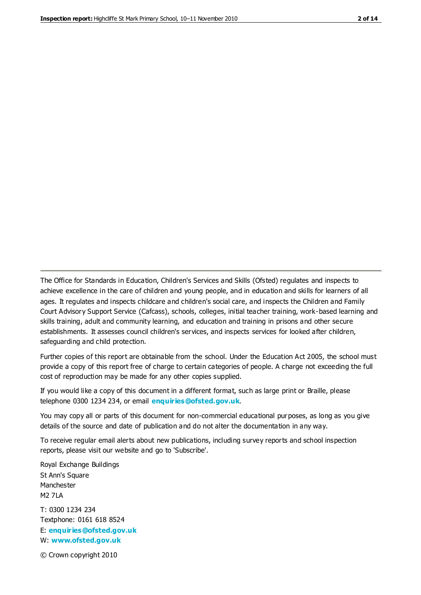The Office for Standards in Education, Children's Services and Skills (Ofsted) regulates and inspects to achieve excellence in the care of children and young people, and in education and skills for learners of all ages. It regulates and inspects childcare and children's social care, and inspects the Children and Family Court Advisory Support Service (Cafcass), schools, colleges, initial teacher training, work-based learning and skills training, adult and community learning, and education and training in prisons and other secure establishments. It assesses council children's services, and inspects services for looked after children, safeguarding and child protection.

Further copies of this report are obtainable from the school. Under the Education Act 2005, the school must provide a copy of this report free of charge to certain categories of people. A charge not exceeding the full cost of reproduction may be made for any other copies supplied.

If you would like a copy of this document in a different format, such as large print or Braille, please telephone 0300 1234 234, or email **[enquiries@ofsted.gov.uk](mailto:enquiries@ofsted.gov.uk)**.

You may copy all or parts of this document for non-commercial educational purposes, as long as you give details of the source and date of publication and do not alter the documentation in any way.

To receive regular email alerts about new publications, including survey reports and school inspection reports, please visit our website and go to 'Subscribe'.

Royal Exchange Buildings St Ann's Square Manchester M2 7LA T: 0300 1234 234 Textphone: 0161 618 8524 E: **[enquiries@ofsted.gov.uk](mailto:enquiries@ofsted.gov.uk)**

W: **[www.ofsted.gov.uk](http://www.ofsted.gov.uk/)**

© Crown copyright 2010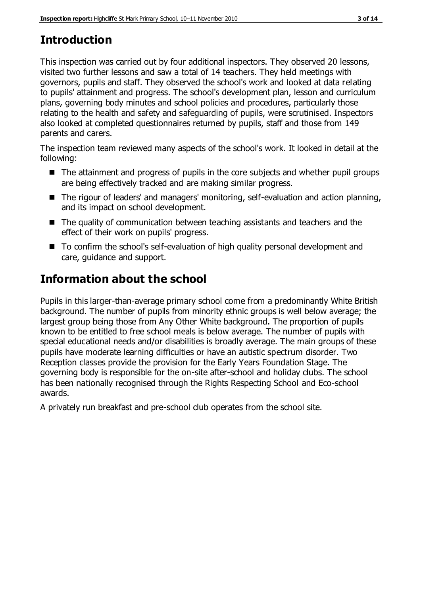# **Introduction**

This inspection was carried out by four additional inspectors. They observed 20 lessons, visited two further lessons and saw a total of 14 teachers. They held meetings with governors, pupils and staff. They observed the school's work and looked at data relating to pupils' attainment and progress. The school's development plan, lesson and curriculum plans, governing body minutes and school policies and procedures, particularly those relating to the health and safety and safeguarding of pupils, were scrutinised. Inspectors also looked at completed questionnaires returned by pupils, staff and those from 149 parents and carers.

The inspection team reviewed many aspects of the school's work. It looked in detail at the following:

- The attainment and progress of pupils in the core subjects and whether pupil groups are being effectively tracked and are making similar progress.
- The rigour of leaders' and managers' monitoring, self-evaluation and action planning, and its impact on school development.
- The quality of communication between teaching assistants and teachers and the effect of their work on pupils' progress.
- To confirm the school's self-evaluation of high quality personal development and care, guidance and support.

# **Information about the school**

Pupils in this larger-than-average primary school come from a predominantly White British background. The number of pupils from minority ethnic groups is well below average; the largest group being those from Any Other White background. The proportion of pupils known to be entitled to free school meals is below average. The number of pupils with special educational needs and/or disabilities is broadly average. The main groups of these pupils have moderate learning difficulties or have an autistic spectrum disorder. Two Reception classes provide the provision for the Early Years Foundation Stage. The governing body is responsible for the on-site after-school and holiday clubs. The school has been nationally recognised through the Rights Respecting School and Eco-school awards.

A privately run breakfast and pre-school club operates from the school site.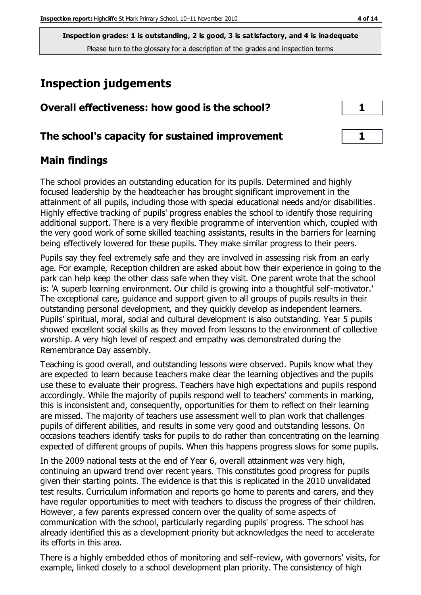# **Inspection judgements**

| Overall effectiveness: how good is the school?  |  |
|-------------------------------------------------|--|
| The school's capacity for sustained improvement |  |

## **Main findings**

The school provides an outstanding education for its pupils. Determined and highly focused leadership by the headteacher has brought significant improvement in the attainment of all pupils, including those with special educational needs and/or disabilities. Highly effective tracking of pupils' progress enables the school to identify those requiring additional support. There is a very flexible programme of intervention which, coupled with the very good work of some skilled teaching assistants, results in the barriers for learning being effectively lowered for these pupils. They make similar progress to their peers.

Pupils say they feel extremely safe and they are involved in assessing risk from an early age. For example, Reception children are asked about how their experience in going to the park can help keep the other class safe when they visit. One parent wrote that the school is: 'A superb learning environment. Our child is growing into a thoughtful self-motivator.' The exceptional care, guidance and support given to all groups of pupils results in their outstanding personal development, and they quickly develop as independent learners. Pupils' spiritual, moral, social and cultural development is also outstanding. Year 5 pupils showed excellent social skills as they moved from lessons to the environment of collective worship. A very high level of respect and empathy was demonstrated during the Remembrance Day assembly.

Teaching is good overall, and outstanding lessons were observed. Pupils know what they are expected to learn because teachers make clear the learning objectives and the pupils use these to evaluate their progress. Teachers have high expectations and pupils respond accordingly. While the majority of pupils respond well to teachers' comments in marking, this is inconsistent and, consequently, opportunities for them to reflect on their learning are missed. The majority of teachers use assessment well to plan work that challenges pupils of different abilities, and results in some very good and outstanding lessons. On occasions teachers identify tasks for pupils to do rather than concentrating on the learning expected of different groups of pupils. When this happens progress slows for some pupils.

In the 2009 national tests at the end of Year 6, overall attainment was very high, continuing an upward trend over recent years. This constitutes good progress for pupils given their starting points. The evidence is that this is replicated in the 2010 unvalidated test results. Curriculum information and reports go home to parents and carers, and they have regular opportunities to meet with teachers to discuss the progress of their children. However, a few parents expressed concern over the quality of some aspects of communication with the school, particularly regarding pupils' progress. The school has already identified this as a development priority but acknowledges the need to accelerate its efforts in this area.

There is a highly embedded ethos of monitoring and self-review, with governors' visits, for example, linked closely to a school development plan priority. The consistency of high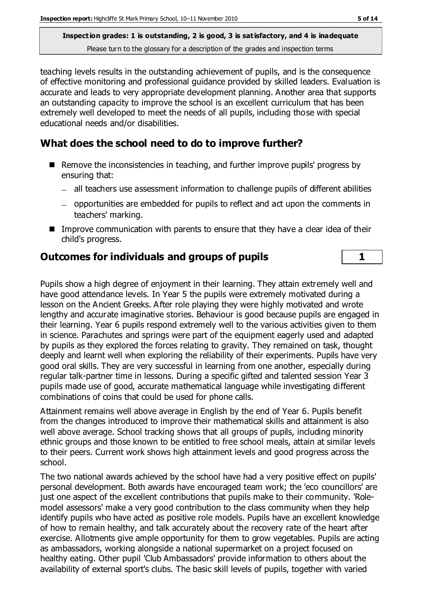teaching levels results in the outstanding achievement of pupils, and is the consequence of effective monitoring and professional guidance provided by skilled leaders. Evaluation is accurate and leads to very appropriate development planning. Another area that supports an outstanding capacity to improve the school is an excellent curriculum that has been extremely well developed to meet the needs of all pupils, including those with special educational needs and/or disabilities.

## **What does the school need to do to improve further?**

- Remove the inconsistencies in teaching, and further improve pupils' progress by ensuring that:
	- all teachers use assessment information to challenge pupils of different abilities
	- opportunities are embedded for pupils to reflect and act upon the comments in teachers' marking.
- Improve communication with parents to ensure that they have a clear idea of their child's progress.

## **Outcomes for individuals and groups of pupils 1**

Pupils show a high degree of enjoyment in their learning. They attain extremely well and have good attendance levels. In Year 5 the pupils were extremely motivated during a lesson on the Ancient Greeks. After role playing they were highly motivated and wrote lengthy and accurate imaginative stories. Behaviour is good because pupils are engaged in their learning. Year 6 pupils respond extremely well to the various activities given to them in science. Parachutes and springs were part of the equipment eagerly used and adapted by pupils as they explored the forces relating to gravity. They remained on task, thought deeply and learnt well when exploring the reliability of their experiments. Pupils have very good oral skills. They are very successful in learning from one another, especially during regular talk-partner time in lessons. During a specific gifted and talented session Year 3 pupils made use of good, accurate mathematical language while investigating different combinations of coins that could be used for phone calls.

Attainment remains well above average in English by the end of Year 6. Pupils benefit from the changes introduced to improve their mathematical skills and attainment is also well above average. School tracking shows that all groups of pupils, including minority ethnic groups and those known to be entitled to free school meals, attain at similar levels to their peers. Current work shows high attainment levels and good progress across the school.

The two national awards achieved by the school have had a very positive effect on pupils' personal development. Both awards have encouraged team work; the 'eco councillors' are just one aspect of the excellent contributions that pupils make to their community. 'Rolemodel assessors' make a very good contribution to the class community when they help identify pupils who have acted as positive role models. Pupils have an excellent knowledge of how to remain healthy, and talk accurately about the recovery rate of the heart after exercise. Allotments give ample opportunity for them to grow vegetables. Pupils are acting as ambassadors, working alongside a national supermarket on a project focused on healthy eating. Other pupil 'Club Ambassadors' provide information to others about the availability of external sport's clubs. The basic skill levels of pupils, together with varied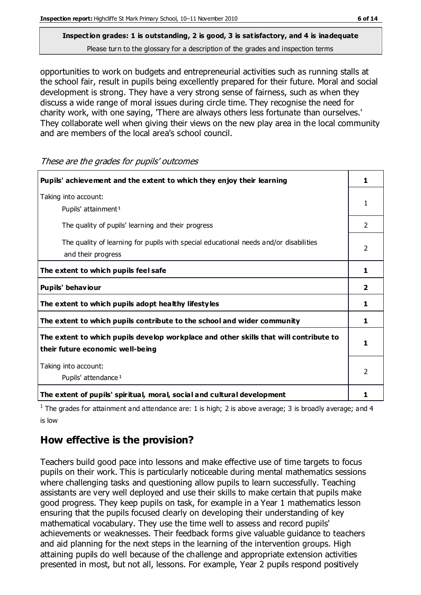# **Inspection grades: 1 is outstanding, 2 is good, 3 is satisfactory, and 4 is inadequate**

Please turn to the glossary for a description of the grades and inspection terms

opportunities to work on budgets and entrepreneurial activities such as running stalls at the school fair, result in pupils being excellently prepared for their future. Moral and social development is strong. They have a very strong sense of fairness, such as when they discuss a wide range of moral issues during circle time. They recognise the need for charity work, with one saying, 'There are always others less fortunate than ourselves.' They collaborate well when giving their views on the new play area in the local community and are members of the local area's school council.

These are the grades for pupils' outcomes

| Pupils' achievement and the extent to which they enjoy their learning                                                     | 1              |
|---------------------------------------------------------------------------------------------------------------------------|----------------|
| Taking into account:<br>Pupils' attainment <sup>1</sup>                                                                   |                |
| The quality of pupils' learning and their progress                                                                        | 2              |
| The quality of learning for pupils with special educational needs and/or disabilities<br>and their progress               | 2              |
| The extent to which pupils feel safe                                                                                      | 1              |
| Pupils' behaviour                                                                                                         | $\overline{2}$ |
| The extent to which pupils adopt healthy lifestyles                                                                       | 1              |
| The extent to which pupils contribute to the school and wider community                                                   | 1              |
| The extent to which pupils develop workplace and other skills that will contribute to<br>their future economic well-being | 1.             |
| Taking into account:<br>Pupils' attendance <sup>1</sup>                                                                   | 2              |
| The extent of pupils' spiritual, moral, social and cultural development                                                   |                |

<sup>1</sup> The grades for attainment and attendance are: 1 is high; 2 is above average; 3 is broadly average; and 4 is low

## **How effective is the provision?**

Teachers build good pace into lessons and make effective use of time targets to focus pupils on their work. This is particularly noticeable during mental mathematics sessions where challenging tasks and questioning allow pupils to learn successfully. Teaching assistants are very well deployed and use their skills to make certain that pupils make good progress. They keep pupils on task, for example in a Year 1 mathematics lesson ensuring that the pupils focused clearly on developing their understanding of key mathematical vocabulary. They use the time well to assess and record pupils' achievements or weaknesses. Their feedback forms give valuable guidance to teachers and aid planning for the next steps in the learning of the intervention groups. High attaining pupils do well because of the challenge and appropriate extension activities presented in most, but not all, lessons. For example, Year 2 pupils respond positively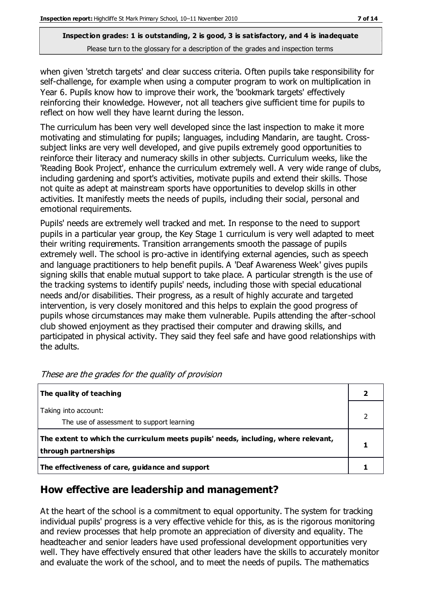when given 'stretch targets' and clear success criteria. Often pupils take responsibility for self-challenge, for example when using a computer program to work on multiplication in Year 6. Pupils know how to improve their work, the 'bookmark targets' effectively reinforcing their knowledge. However, not all teachers give sufficient time for pupils to reflect on how well they have learnt during the lesson.

The curriculum has been very well developed since the last inspection to make it more motivating and stimulating for pupils; languages, including Mandarin, are taught. Crosssubject links are very well developed, and give pupils extremely good opportunities to reinforce their literacy and numeracy skills in other subjects. Curriculum weeks, like the 'Reading Book Project', enhance the curriculum extremely well. A very wide range of clubs, including gardening and sport's activities, motivate pupils and extend their skills. Those not quite as adept at mainstream sports have opportunities to develop skills in other activities. It manifestly meets the needs of pupils, including their social, personal and emotional requirements.

Pupils' needs are extremely well tracked and met. In response to the need to support pupils in a particular year group, the Key Stage 1 curriculum is very well adapted to meet their writing requirements. Transition arrangements smooth the passage of pupils extremely well. The school is pro-active in identifying external agencies, such as speech and language practitioners to help benefit pupils. A 'Deaf Awareness Week' gives pupils signing skills that enable mutual support to take place. A particular strength is the use of the tracking systems to identify pupils' needs, including those with special educational needs and/or disabilities. Their progress, as a result of highly accurate and targeted intervention, is very closely monitored and this helps to explain the good progress of pupils whose circumstances may make them vulnerable. Pupils attending the after-school club showed enjoyment as they practised their computer and drawing skills, and participated in physical activity. They said they feel safe and have good relationships with the adults.

| The quality of teaching                                                                                    |  |
|------------------------------------------------------------------------------------------------------------|--|
| Taking into account:<br>The use of assessment to support learning                                          |  |
| The extent to which the curriculum meets pupils' needs, including, where relevant,<br>through partnerships |  |
| The effectiveness of care, guidance and support                                                            |  |

These are the grades for the quality of provision

#### **How effective are leadership and management?**

At the heart of the school is a commitment to equal opportunity. The system for tracking individual pupils' progress is a very effective vehicle for this, as is the rigorous monitoring and review processes that help promote an appreciation of diversity and equality. The headteacher and senior leaders have used professional development opportunities very well. They have effectively ensured that other leaders have the skills to accurately monitor and evaluate the work of the school, and to meet the needs of pupils. The mathematics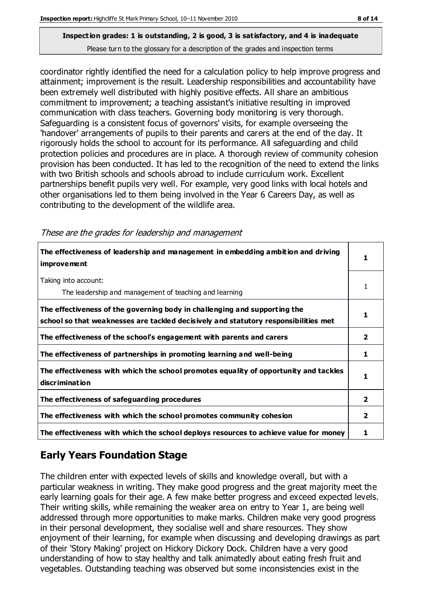coordinator rightly identified the need for a calculation policy to help improve progress and attainment; improvement is the result. Leadership responsibilities and accountability have been extremely well distributed with highly positive effects. All share an ambitious commitment to improvement; a teaching assistant's initiative resulting in improved communication with class teachers. Governing body monitoring is very thorough. Safeguarding is a consistent focus of governors' visits, for example overseeing the 'handover' arrangements of pupils to their parents and carers at the end of the day. It rigorously holds the school to account for its performance. All safeguarding and child protection policies and procedures are in place. A thorough review of community cohesion provision has been conducted. It has led to the recognition of the need to extend the links with two British schools and schools abroad to include curriculum work. Excellent partnerships benefit pupils very well. For example, very good links with local hotels and other organisations led to them being involved in the Year 6 Careers Day, as well as contributing to the development of the wildlife area.

|  |  | These are the grades for leadership and management |  |
|--|--|----------------------------------------------------|--|
|  |  |                                                    |  |

| The effectiveness of leadership and management in embedding ambition and driving<br><b>improvement</b>                                                           | 1                       |
|------------------------------------------------------------------------------------------------------------------------------------------------------------------|-------------------------|
| Taking into account:<br>The leadership and management of teaching and learning                                                                                   | 1                       |
| The effectiveness of the governing body in challenging and supporting the<br>school so that weaknesses are tackled decisively and statutory responsibilities met | 1.                      |
| The effectiveness of the school's engagement with parents and carers                                                                                             | $\overline{\mathbf{2}}$ |
| The effectiveness of partnerships in promoting learning and well-being                                                                                           | 1                       |
| The effectiveness with which the school promotes equality of opportunity and tackles<br>discrimination                                                           | 1                       |
| The effectiveness of safeguarding procedures                                                                                                                     | $\overline{\mathbf{2}}$ |
| The effectiveness with which the school promotes community cohesion                                                                                              | 2                       |
| The effectiveness with which the school deploys resources to achieve value for money                                                                             |                         |

## **Early Years Foundation Stage**

The children enter with expected levels of skills and knowledge overall, but with a particular weakness in writing. They make good progress and the great majority meet the early learning goals for their age. A few make better progress and exceed expected levels. Their writing skills, while remaining the weaker area on entry to Year 1, are being well addressed through more opportunities to make marks. Children make very good progress in their personal development, they socialise well and share resources. They show enjoyment of their learning, for example when discussing and developing drawings as part of their 'Story Making' project on Hickory Dickory Dock. Children have a very good understanding of how to stay healthy and talk animatedly about eating fresh fruit and vegetables. Outstanding teaching was observed but some inconsistencies exist in the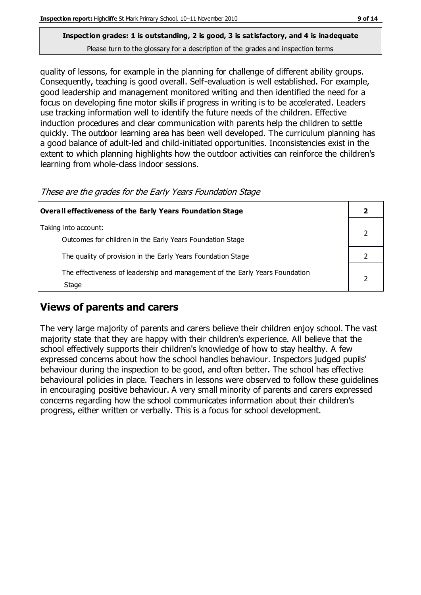# **Inspection grades: 1 is outstanding, 2 is good, 3 is satisfactory, and 4 is inadequate**

Please turn to the glossary for a description of the grades and inspection terms

quality of lessons, for example in the planning for challenge of different ability groups. Consequently, teaching is good overall. Self-evaluation is well established. For example, good leadership and management monitored writing and then identified the need for a focus on developing fine motor skills if progress in writing is to be accelerated. Leaders use tracking information well to identify the future needs of the children. Effective induction procedures and clear communication with parents help the children to settle quickly. The outdoor learning area has been well developed. The curriculum planning has a good balance of adult-led and child-initiated opportunities. Inconsistencies exist in the extent to which planning highlights how the outdoor activities can reinforce the children's learning from whole-class indoor sessions.

| <b>Overall effectiveness of the Early Years Foundation Stage</b>                      |  |  |
|---------------------------------------------------------------------------------------|--|--|
| Taking into account:<br>Outcomes for children in the Early Years Foundation Stage     |  |  |
| The quality of provision in the Early Years Foundation Stage                          |  |  |
| The effectiveness of leadership and management of the Early Years Foundation<br>Stage |  |  |

These are the grades for the Early Years Foundation Stage

#### **Views of parents and carers**

The very large majority of parents and carers believe their children enjoy school. The vast majority state that they are happy with their children's experience. All believe that the school effectively supports their children's knowledge of how to stay healthy. A few expressed concerns about how the school handles behaviour. Inspectors judged pupils' behaviour during the inspection to be good, and often better. The school has effective behavioural policies in place. Teachers in lessons were observed to follow these guidelines in encouraging positive behaviour. A very small minority of parents and carers expressed concerns regarding how the school communicates information about their children's progress, either written or verbally. This is a focus for school development.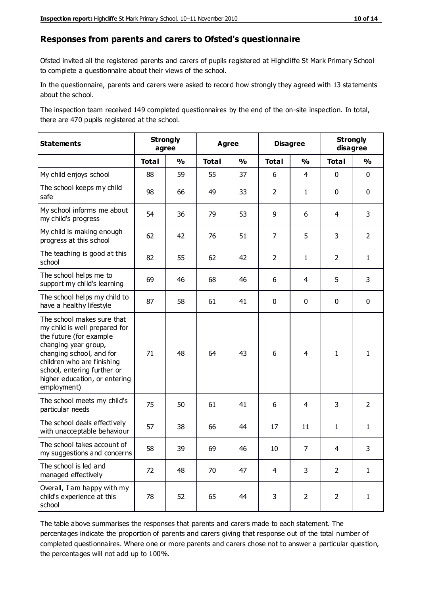#### **Responses from parents and carers to Ofsted's questionnaire**

Ofsted invited all the registered parents and carers of pupils registered at Highcliffe St Mark Primary School to complete a questionnaire about their views of the school.

In the questionnaire, parents and carers were asked to record how strongly they agreed with 13 statements about the school.

The inspection team received 149 completed questionnaires by the end of the on-site inspection. In total, there are 470 pupils registered at the school.

| <b>Statements</b>                                                                                                                                                                                                                                       | <b>Strongly</b><br>agree |               | <b>Agree</b> |               | <b>Disagree</b> |                | <b>Strongly</b><br>disagree |                |
|---------------------------------------------------------------------------------------------------------------------------------------------------------------------------------------------------------------------------------------------------------|--------------------------|---------------|--------------|---------------|-----------------|----------------|-----------------------------|----------------|
|                                                                                                                                                                                                                                                         | <b>Total</b>             | $\frac{1}{2}$ | <b>Total</b> | $\frac{1}{2}$ | <b>Total</b>    | $\frac{1}{2}$  | <b>Total</b>                | $\frac{1}{2}$  |
| My child enjoys school                                                                                                                                                                                                                                  | 88                       | 59            | 55           | 37            | 6               | $\overline{4}$ | $\mathbf 0$                 | $\mathbf 0$    |
| The school keeps my child<br>safe                                                                                                                                                                                                                       | 98                       | 66            | 49           | 33            | $\overline{2}$  | $\mathbf{1}$   | $\mathbf 0$                 | $\mathbf 0$    |
| My school informs me about<br>my child's progress                                                                                                                                                                                                       | 54                       | 36            | 79           | 53            | 9               | 6              | 4                           | 3              |
| My child is making enough<br>progress at this school                                                                                                                                                                                                    | 62                       | 42            | 76           | 51            | $\overline{7}$  | 5              | 3                           | $\overline{2}$ |
| The teaching is good at this<br>school                                                                                                                                                                                                                  | 82                       | 55            | 62           | 42            | $\overline{2}$  | $\mathbf{1}$   | $\overline{2}$              | $\mathbf{1}$   |
| The school helps me to<br>support my child's learning                                                                                                                                                                                                   | 69                       | 46            | 68           | 46            | 6               | 4              | 5                           | 3              |
| The school helps my child to<br>have a healthy lifestyle                                                                                                                                                                                                | 87                       | 58            | 61           | 41            | 0               | $\mathbf 0$    | $\mathbf 0$                 | $\mathbf 0$    |
| The school makes sure that<br>my child is well prepared for<br>the future (for example<br>changing year group,<br>changing school, and for<br>children who are finishing<br>school, entering further or<br>higher education, or entering<br>employment) | 71                       | 48            | 64           | 43            | 6               | 4              | $\mathbf{1}$                | 1              |
| The school meets my child's<br>particular needs                                                                                                                                                                                                         | 75                       | 50            | 61           | 41            | 6               | 4              | 3                           | $\overline{2}$ |
| The school deals effectively<br>with unacceptable behaviour                                                                                                                                                                                             | 57                       | 38            | 66           | 44            | 17              | 11             | $\mathbf{1}$                | $\mathbf{1}$   |
| The school takes account of<br>my suggestions and concerns                                                                                                                                                                                              | 58                       | 39            | 69           | 46            | 10              | $\overline{7}$ | $\overline{4}$              | 3              |
| The school is led and<br>managed effectively                                                                                                                                                                                                            | 72                       | 48            | 70           | 47            | $\overline{4}$  | 3              | $\overline{2}$              | $\mathbf{1}$   |
| Overall, I am happy with my<br>child's experience at this<br>school                                                                                                                                                                                     | 78                       | 52            | 65           | 44            | $\mathsf{3}$    | $\overline{2}$ | $\overline{2}$              | $\mathbf{1}$   |

The table above summarises the responses that parents and carers made to each statement. The percentages indicate the proportion of parents and carers giving that response out of the total number of completed questionnaires. Where one or more parents and carers chose not to answer a particular question, the percentages will not add up to 100%.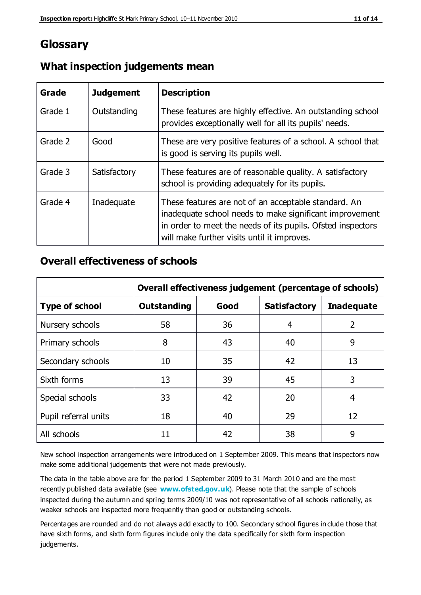## **Glossary**

| Grade   | <b>Judgement</b> | <b>Description</b>                                                                                                                                                                                                            |
|---------|------------------|-------------------------------------------------------------------------------------------------------------------------------------------------------------------------------------------------------------------------------|
| Grade 1 | Outstanding      | These features are highly effective. An outstanding school<br>provides exceptionally well for all its pupils' needs.                                                                                                          |
| Grade 2 | Good             | These are very positive features of a school. A school that<br>is good is serving its pupils well.                                                                                                                            |
| Grade 3 | Satisfactory     | These features are of reasonable quality. A satisfactory<br>school is providing adequately for its pupils.                                                                                                                    |
| Grade 4 | Inadequate       | These features are not of an acceptable standard. An<br>inadequate school needs to make significant improvement<br>in order to meet the needs of its pupils. Ofsted inspectors<br>will make further visits until it improves. |

## **What inspection judgements mean**

## **Overall effectiveness of schools**

|                       | Overall effectiveness judgement (percentage of schools) |      |                     |                   |
|-----------------------|---------------------------------------------------------|------|---------------------|-------------------|
| <b>Type of school</b> | <b>Outstanding</b>                                      | Good | <b>Satisfactory</b> | <b>Inadequate</b> |
| Nursery schools       | 58                                                      | 36   | 4                   | 2                 |
| Primary schools       | 8                                                       | 43   | 40                  | 9                 |
| Secondary schools     | 10                                                      | 35   | 42                  | 13                |
| Sixth forms           | 13                                                      | 39   | 45                  | 3                 |
| Special schools       | 33                                                      | 42   | 20                  | 4                 |
| Pupil referral units  | 18                                                      | 40   | 29                  | 12                |
| All schools           | 11                                                      | 42   | 38                  | 9                 |

New school inspection arrangements were introduced on 1 September 2009. This means that inspectors now make some additional judgements that were not made previously.

The data in the table above are for the period 1 September 2009 to 31 March 2010 and are the most recently published data available (see **[www.ofsted.gov.uk](http://www.ofsted.gov.uk/)**). Please note that the sample of schools inspected during the autumn and spring terms 2009/10 was not representative of all schools nationally, as weaker schools are inspected more frequently than good or outstanding schools.

Percentages are rounded and do not always add exactly to 100. Secondary school figures in clude those that have sixth forms, and sixth form figures include only the data specifically for sixth form inspection judgements.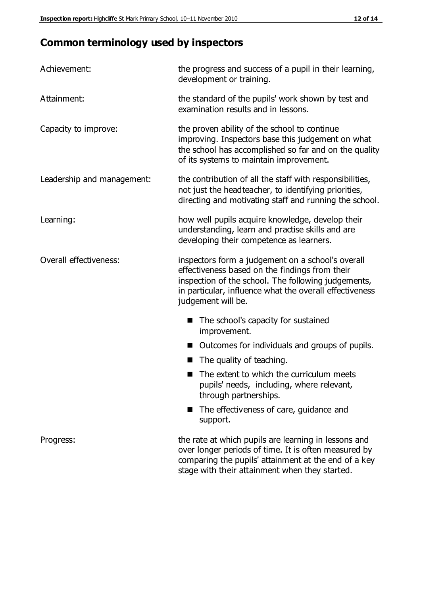# **Common terminology used by inspectors**

| Achievement:               | the progress and success of a pupil in their learning,<br>development or training.                                                                                                                                                          |
|----------------------------|---------------------------------------------------------------------------------------------------------------------------------------------------------------------------------------------------------------------------------------------|
| Attainment:                | the standard of the pupils' work shown by test and<br>examination results and in lessons.                                                                                                                                                   |
| Capacity to improve:       | the proven ability of the school to continue<br>improving. Inspectors base this judgement on what<br>the school has accomplished so far and on the quality<br>of its systems to maintain improvement.                                       |
| Leadership and management: | the contribution of all the staff with responsibilities,<br>not just the headteacher, to identifying priorities,<br>directing and motivating staff and running the school.                                                                  |
| Learning:                  | how well pupils acquire knowledge, develop their<br>understanding, learn and practise skills and are<br>developing their competence as learners.                                                                                            |
| Overall effectiveness:     | inspectors form a judgement on a school's overall<br>effectiveness based on the findings from their<br>inspection of the school. The following judgements,<br>in particular, influence what the overall effectiveness<br>judgement will be. |
|                            | The school's capacity for sustained<br>improvement.                                                                                                                                                                                         |
|                            | Outcomes for individuals and groups of pupils.                                                                                                                                                                                              |
|                            | The quality of teaching.                                                                                                                                                                                                                    |
|                            | The extent to which the curriculum meets<br>pupils' needs, including, where relevant,<br>through partnerships.                                                                                                                              |
|                            | The effectiveness of care, guidance and<br>support.                                                                                                                                                                                         |
| Progress:                  | the rate at which pupils are learning in lessons and<br>over longer periods of time. It is often measured by<br>comparing the pupils' attainment at the end of a key                                                                        |

stage with their attainment when they started.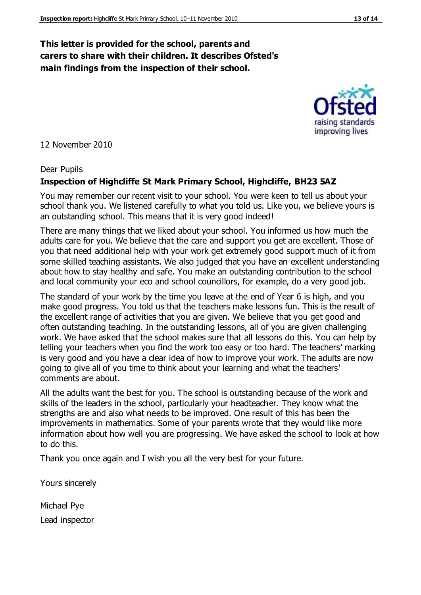#### **This letter is provided for the school, parents and carers to share with their children. It describes Ofsted's main findings from the inspection of their school.**

12 November 2010

#### Dear Pupils

#### **Inspection of Highcliffe St Mark Primary School, Highcliffe, BH23 5AZ**

You may remember our recent visit to your school. You were keen to tell us about your school thank you. We listened carefully to what you told us. Like you, we believe yours is an outstanding school. This means that it is very good indeed!

There are many things that we liked about your school. You informed us how much the adults care for you. We believe that the care and support you get are excellent. Those of you that need additional help with your work get extremely good support much of it from some skilled teaching assistants. We also judged that you have an excellent understanding about how to stay healthy and safe. You make an outstanding contribution to the school and local community your eco and school councillors, for example, do a very good job.

The standard of your work by the time you leave at the end of Year 6 is high, and you make good progress. You told us that the teachers make lessons fun. This is the result of the excellent range of activities that you are given. We believe that you get good and often outstanding teaching. In the outstanding lessons, all of you are given challenging work. We have asked that the school makes sure that all lessons do this. You can help by telling your teachers when you find the work too easy or too hard. The teachers' marking is very good and you have a clear idea of how to improve your work. The adults are now going to give all of you time to think about your learning and what the teachers' comments are about.

All the adults want the best for you. The school is outstanding because of the work and skills of the leaders in the school, particularly your headteacher. They know what the strengths are and also what needs to be improved. One result of this has been the improvements in mathematics. Some of your parents wrote that they would like more information about how well you are progressing. We have asked the school to look at how to do this.

Thank you once again and I wish you all the very best for your future.

Yours sincerely

Michael Pye Lead inspector